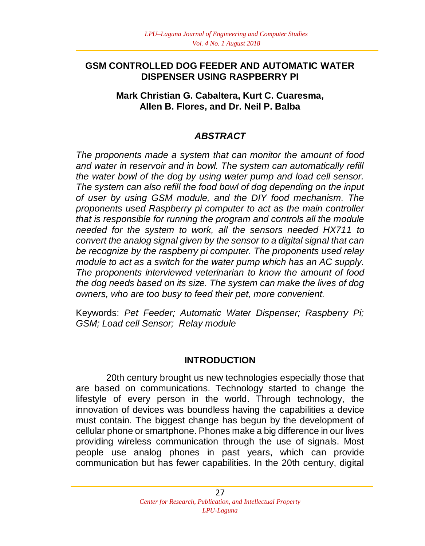## **GSM CONTROLLED DOG FEEDER AND AUTOMATIC WATER DISPENSER USING RASPBERRY PI**

#### **Mark Christian G. Cabaltera, Kurt C. Cuaresma, Allen B. Flores, and Dr. Neil P. Balba**

# *ABSTRACT*

*The proponents made a system that can monitor the amount of food and water in reservoir and in bowl. The system can automatically refill the water bowl of the dog by using water pump and load cell sensor. The system can also refill the food bowl of dog depending on the input of user by using GSM module, and the DIY food mechanism. The proponents used Raspberry pi computer to act as the main controller that is responsible for running the program and controls all the module needed for the system to work, all the sensors needed HX711 to convert the analog signal given by the sensor to a digital signal that can be recognize by the raspberry pi computer. The proponents used relay module to act as a switch for the water pump which has an AC supply. The proponents interviewed veterinarian to know the amount of food the dog needs based on its size. The system can make the lives of dog owners, who are too busy to feed their pet, more convenient.*

Keywords: *Pet Feeder; Automatic Water Dispenser; Raspberry Pi; GSM; Load cell Sensor; Relay module*

## **INTRODUCTION**

20th century brought us new technologies especially those that are based on communications. Technology started to change the lifestyle of every person in the world. Through technology, the innovation of devices was boundless having the capabilities a device must contain. The biggest change has begun by the development of cellular phone or smartphone. Phones make a big difference in our lives providing wireless communication through the use of signals. Most people use analog phones in past years, which can provide communication but has fewer capabilities. In the 20th century, digital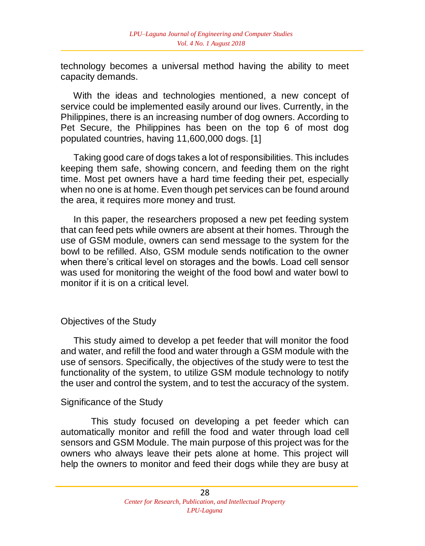technology becomes a universal method having the ability to meet capacity demands.

 With the ideas and technologies mentioned, a new concept of service could be implemented easily around our lives. Currently, in the Philippines, there is an increasing number of dog owners. According to Pet Secure, the Philippines has been on the top 6 of most dog populated countries, having 11,600,000 dogs. [1]

 Taking good care of dogs takes a lot of responsibilities. This includes keeping them safe, showing concern, and feeding them on the right time. Most pet owners have a hard time feeding their pet, especially when no one is at home. Even though pet services can be found around the area, it requires more money and trust.

 In this paper, the researchers proposed a new pet feeding system that can feed pets while owners are absent at their homes. Through the use of GSM module, owners can send message to the system for the bowl to be refilled. Also, GSM module sends notification to the owner when there's critical level on storages and the bowls. Load cell sensor was used for monitoring the weight of the food bowl and water bowl to monitor if it is on a critical level.

## Objectives of the Study

 This study aimed to develop a pet feeder that will monitor the food and water, and refill the food and water through a GSM module with the use of sensors. Specifically, the objectives of the study were to test the functionality of the system, to utilize GSM module technology to notify the user and control the system, and to test the accuracy of the system.

#### Significance of the Study

This study focused on developing a pet feeder which can automatically monitor and refill the food and water through load cell sensors and GSM Module. The main purpose of this project was for the owners who always leave their pets alone at home. This project will help the owners to monitor and feed their dogs while they are busy at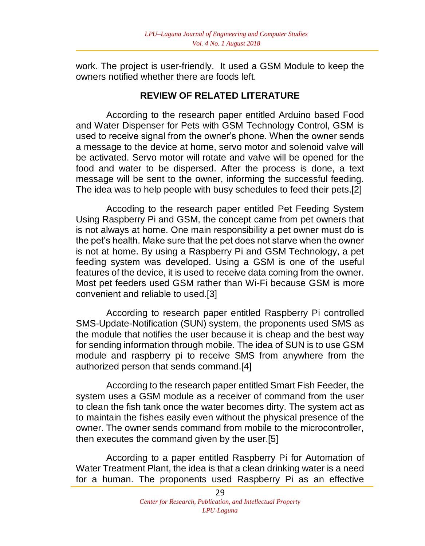work. The project is user-friendly. It used a GSM Module to keep the owners notified whether there are foods left.

## **REVIEW OF RELATED LITERATURE**

According to the research paper entitled Arduino based Food and Water Dispenser for Pets with GSM Technology Control, GSM is used to receive signal from the owner's phone. When the owner sends a message to the device at home, servo motor and solenoid valve will be activated. Servo motor will rotate and valve will be opened for the food and water to be dispersed. After the process is done, a text message will be sent to the owner, informing the successful feeding. The idea was to help people with busy schedules to feed their pets.[2]

Accoding to the research paper entitled Pet Feeding System Using Raspberry Pi and GSM, the concept came from pet owners that is not always at home. One main responsibility a pet owner must do is the pet's health. Make sure that the pet does not starve when the owner is not at home. By using a Raspberry Pi and GSM Technology, a pet feeding system was developed. Using a GSM is one of the useful features of the device, it is used to receive data coming from the owner. Most pet feeders used GSM rather than Wi-Fi because GSM is more convenient and reliable to used.[3]

According to research paper entitled Raspberry Pi controlled SMS-Update-Notification (SUN) system, the proponents used SMS as the module that notifies the user because it is cheap and the best way for sending information through mobile. The idea of SUN is to use GSM module and raspberry pi to receive SMS from anywhere from the authorized person that sends command.[4]

According to the research paper entitled Smart Fish Feeder, the system uses a GSM module as a receiver of command from the user to clean the fish tank once the water becomes dirty. The system act as to maintain the fishes easily even without the physical presence of the owner. The owner sends command from mobile to the microcontroller, then executes the command given by the user.[5]

According to a paper entitled Raspberry Pi for Automation of Water Treatment Plant, the idea is that a clean drinking water is a need for a human. The proponents used Raspberry Pi as an effective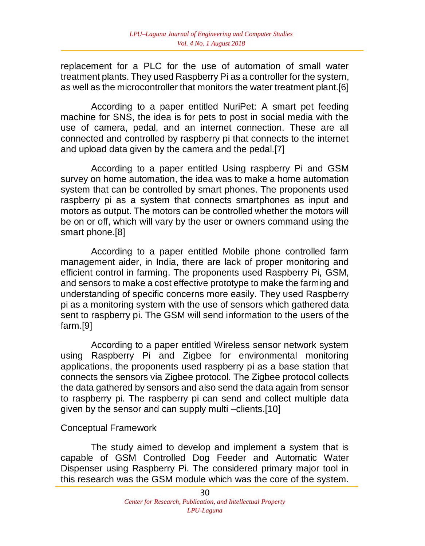replacement for a PLC for the use of automation of small water treatment plants. They used Raspberry Pi as a controller for the system, as well as the microcontroller that monitors the water treatment plant.[6]

According to a paper entitled NuriPet: A smart pet feeding machine for SNS, the idea is for pets to post in social media with the use of camera, pedal, and an internet connection. These are all connected and controlled by raspberry pi that connects to the internet and upload data given by the camera and the pedal.[7]

According to a paper entitled Using raspberry Pi and GSM survey on home automation, the idea was to make a home automation system that can be controlled by smart phones. The proponents used raspberry pi as a system that connects smartphones as input and motors as output. The motors can be controlled whether the motors will be on or off, which will vary by the user or owners command using the smart phone.[8]

According to a paper entitled Mobile phone controlled farm management aider, in India, there are lack of proper monitoring and efficient control in farming. The proponents used Raspberry Pi, GSM, and sensors to make a cost effective prototype to make the farming and understanding of specific concerns more easily. They used Raspberry pi as a monitoring system with the use of sensors which gathered data sent to raspberry pi. The GSM will send information to the users of the farm.[9]

According to a paper entitled Wireless sensor network system using Raspberry Pi and Zigbee for environmental monitoring applications, the proponents used raspberry pi as a base station that connects the sensors via Zigbee protocol. The Zigbee protocol collects the data gathered by sensors and also send the data again from sensor to raspberry pi. The raspberry pi can send and collect multiple data given by the sensor and can supply multi –clients.[10]

#### Conceptual Framework

The study aimed to develop and implement a system that is capable of GSM Controlled Dog Feeder and Automatic Water Dispenser using Raspberry Pi. The considered primary major tool in this research was the GSM module which was the core of the system.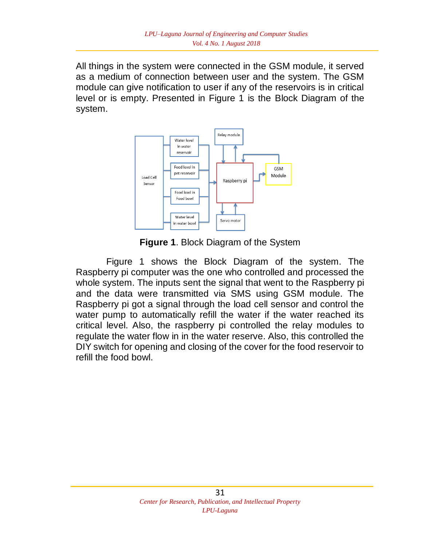All things in the system were connected in the GSM module, it served as a medium of connection between user and the system. The GSM module can give notification to user if any of the reservoirs is in critical level or is empty. Presented in Figure 1 is the Block Diagram of the system.



**Figure 1**. Block Diagram of the System

 Figure 1 shows the Block Diagram of the system. The Raspberry pi computer was the one who controlled and processed the whole system. The inputs sent the signal that went to the Raspberry pi and the data were transmitted via SMS using GSM module. The Raspberry pi got a signal through the load cell sensor and control the water pump to automatically refill the water if the water reached its critical level. Also, the raspberry pi controlled the relay modules to regulate the water flow in in the water reserve. Also, this controlled the DIY switch for opening and closing of the cover for the food reservoir to refill the food bowl.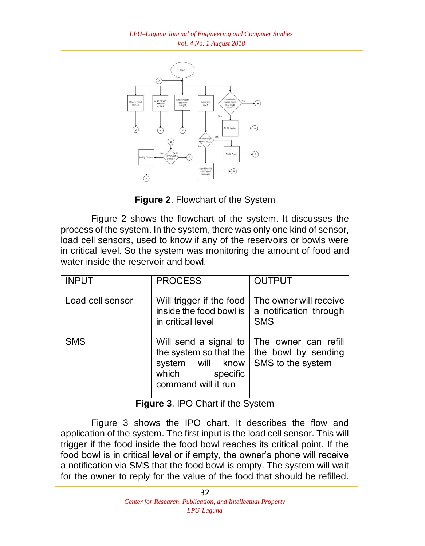

**Figure 2**. Flowchart of the System

Figure 2 shows the flowchart of the system. It discusses the process of the system. In the system, there was only one kind of sensor, load cell sensors, used to know if any of the reservoirs or bowls were in critical level. So the system was monitoring the amount of food and water inside the reservoir and bowl.

| <b>INPUT</b>     | <b>PROCESS</b>                                                                                                     | <b>OUTPUT</b>                                                    |
|------------------|--------------------------------------------------------------------------------------------------------------------|------------------------------------------------------------------|
| Load cell sensor | Will trigger if the food<br>inside the food bowl is<br>in critical level                                           | The owner will receive<br>a notification through<br><b>SMS</b>   |
| <b>SMS</b>       | Will send a signal to<br>the system so that the<br>will know<br>system<br>which<br>specific<br>command will it run | The owner can refill<br>the bowl by sending<br>SMS to the system |

**Figure 3**. IPO Chart if the System

Figure 3 shows the IPO chart. It describes the flow and application of the system. The first input is the load cell sensor. This will trigger if the food inside the food bowl reaches its critical point. If the food bowl is in critical level or if empty, the owner's phone will receive a notification via SMS that the food bowl is empty. The system will wait for the owner to reply for the value of the food that should be refilled.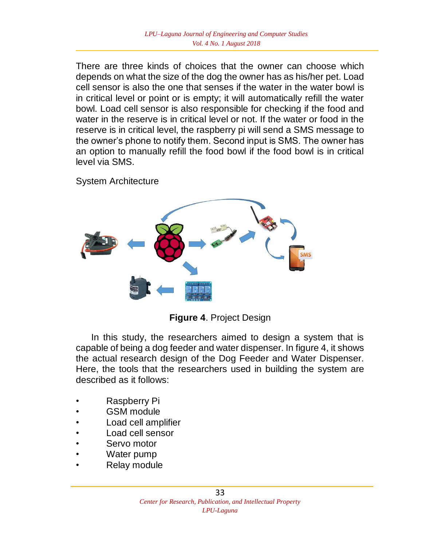There are three kinds of choices that the owner can choose which depends on what the size of the dog the owner has as his/her pet. Load cell sensor is also the one that senses if the water in the water bowl is in critical level or point or is empty; it will automatically refill the water bowl. Load cell sensor is also responsible for checking if the food and water in the reserve is in critical level or not. If the water or food in the reserve is in critical level, the raspberry pi will send a SMS message to the owner's phone to notify them. Second input is SMS. The owner has an option to manually refill the food bowl if the food bowl is in critical level via SMS.

System Architecture



**Figure 4**. Project Design

 In this study, the researchers aimed to design a system that is capable of being a dog feeder and water dispenser. In figure 4, it shows the actual research design of the Dog Feeder and Water Dispenser. Here, the tools that the researchers used in building the system are described as it follows:

- Raspberry Pi
- GSM module
- Load cell amplifier
- Load cell sensor
- Servo motor
- Water pump
- Relay module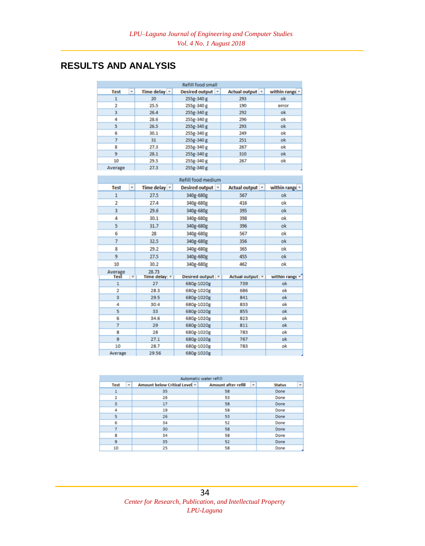# **RESULTS AND ANALYSIS**

| <b>Refill food small</b> |                   |                  |                   |                     |
|--------------------------|-------------------|------------------|-------------------|---------------------|
| ÷<br><b>Test</b>         | Time delay $\sim$ | Desired output ~ | Actual output   v | within range $\sim$ |
| 1                        | 20                | 255g-340 g       | 293               | ok                  |
| 2                        | 25.5              | 255g-340 g       | 190               | error               |
| 3                        | 26.4              | 255g-340 g       | 292               | ok                  |
| 4                        | 28.6              | 255g-340 g       | 296               | ok                  |
| 5                        | 26.5              | 255g-340 g       | 293               | ok                  |
| 6                        | 30.1              | 255g-340 g       | 249               | ok                  |
| 7                        | 31                | 255g-340 g       | 251               | ok                  |
| 8                        | 27.3              | 255g-340 g       | 267               | ok                  |
| 9                        | 28.1              | 255g-340 g       | 310               | ok                  |
| 10                       | 29.5              | 255g-340 g       | 267               | ok                  |
| Average                  | 27.3              | 255g-340 g       |                   |                     |

| Refill food medium |   |                      |                                         |                   |                           |
|--------------------|---|----------------------|-----------------------------------------|-------------------|---------------------------|
| <b>Test</b>        | ٠ | Time delay v         | Desired output  v                       | Actual output v   | within range $-$          |
| 1                  |   | 27.5                 | 340g-680g                               | 567               | ok                        |
| $\overline{a}$     |   | 27.4                 | 340g-680g                               | 416               | ok                        |
| 3                  |   | 29.6                 | 340g-680g                               | 395               | ok                        |
| 4                  |   | 30.1                 | 340g-680g                               | 398               | ok                        |
| 5                  |   | 31.7                 | 340g-680g                               | 396               | ok                        |
| 6                  |   | 28                   | 340g-680g                               | 567               | ok                        |
| 7                  |   | 32.5                 | 340g-680g                               | 356               | ok                        |
| 8                  |   | 29.2                 | 340g-680g                               | 365               | ok                        |
| 9                  |   | 27.5                 | 340g-680g                               | 455               | ok                        |
| 10                 |   | 30.2                 | 340g-680g                               | 462               | ok                        |
|                    |   |                      |                                         |                   |                           |
| Average<br>Test    | ٠ | 28.73                | Desired output $\vert \mathbf{v} \vert$ | Actual output   v |                           |
| 1                  |   | Time delay   v<br>27 | 680g-1020g                              | 739               | ok                        |
| $\overline{2}$     |   | 28.3                 | 680e-1020e                              | 686               | within range $\tau$<br>ok |
| 3                  |   | 29.5                 | 680g-1020g                              | 841               | ok                        |
| 4                  |   | 30.4                 | 680g-1020g                              | 833               | ok                        |
| 5                  |   | 33                   | 680e-1020e                              | 855               | ok                        |
| 6                  |   | 34.6                 | 680g-1020g                              | 823               | ok                        |
| $\overline{7}$     |   | 29                   | 680g-1020g                              | 811               | ok                        |
| 8                  |   | 28                   | 680g-1020g                              | 783               | ok                        |
| $\overline{9}$     |   | 27.1                 | 680e-1020e                              | 767               | ok                        |
| 10                 |   | 28.7                 | 680g-1020g                              | 783               | ok                        |

| Automatic water refill |   |                               |                                 |                    |  |
|------------------------|---|-------------------------------|---------------------------------|--------------------|--|
| <b>Test</b>            | ٠ | Amount below Critical Level ~ | <b>Amount after refill</b><br>٠ | <b>Status</b><br>٠ |  |
|                        |   | 35                            | 58                              | Done               |  |
| 2                      |   | 26                            | 53                              | Done               |  |
| 3                      |   | 17                            | 58                              | Done               |  |
| 4                      |   | 19                            | 58                              | Done               |  |
| 5                      |   | 26                            | 53                              | Done               |  |
| 6                      |   | 34                            | 52                              | Done               |  |
|                        |   | 30                            | 58                              | Done               |  |
| 8                      |   | 34                            | 58                              | Done               |  |
| 9                      |   | 35                            | 52                              | Done               |  |
| 10                     |   | 25                            | 58                              | Done               |  |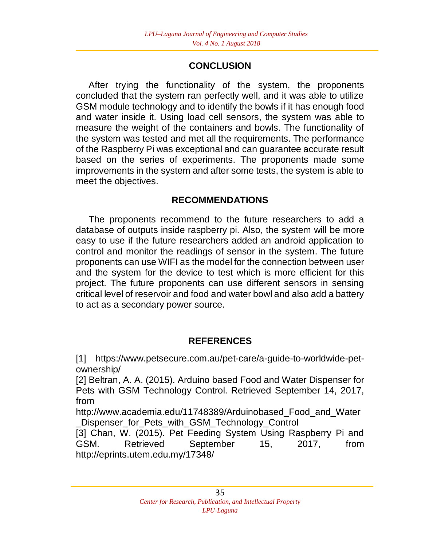# **CONCLUSION**

 After trying the functionality of the system, the proponents concluded that the system ran perfectly well, and it was able to utilize GSM module technology and to identify the bowls if it has enough food and water inside it. Using load cell sensors, the system was able to measure the weight of the containers and bowls. The functionality of the system was tested and met all the requirements. The performance of the Raspberry Pi was exceptional and can guarantee accurate result based on the series of experiments. The proponents made some improvements in the system and after some tests, the system is able to meet the objectives.

## **RECOMMENDATIONS**

 The proponents recommend to the future researchers to add a database of outputs inside raspberry pi. Also, the system will be more easy to use if the future researchers added an android application to control and monitor the readings of sensor in the system. The future proponents can use WIFI as the model for the connection between user and the system for the device to test which is more efficient for this project. The future proponents can use different sensors in sensing critical level of reservoir and food and water bowl and also add a battery to act as a secondary power source.

## **REFERENCES**

[1] https://www.petsecure.com.au/pet-care/a-guide-to-worldwide-petownership/

[2] Beltran, A. A. (2015). Arduino based Food and Water Dispenser for Pets with GSM Technology Control. Retrieved September 14, 2017, from

http://www.academia.edu/11748389/Arduinobased\_Food\_and\_Water \_Dispenser\_for\_Pets\_with\_GSM\_Technology\_Control

[3] Chan, W. (2015). Pet Feeding System Using Raspberry Pi and GSM. Retrieved September 15, 2017, from http://eprints.utem.edu.my/17348/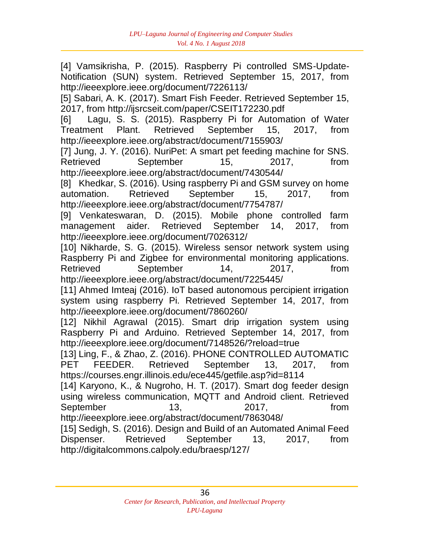[4] Vamsikrisha, P. (2015). Raspberry Pi controlled SMS-Update-Notification (SUN) system. Retrieved September 15, 2017, from http://ieeexplore.ieee.org/document/7226113/

[5] Sabari, A. K. (2017). Smart Fish Feeder. Retrieved September 15, 2017, from http://ijsrcseit.com/paper/CSEIT172230.pdf

[6] Lagu, S. S. (2015). Raspberry Pi for Automation of Water Treatment Plant. Retrieved September 15, 2017, from http://ieeexplore.ieee.org/abstract/document/7155903/

[7] Jung, J. Y. (2016). NuriPet: A smart pet feeding machine for SNS. Retrieved September 15, 2017, from http://ieeexplore.ieee.org/abstract/document/7430544/

[8] Khedkar, S. (2016). Using raspberry Pi and GSM survey on home automation. Retrieved September 15, 2017, from http://ieeexplore.ieee.org/abstract/document/7754787/

[9] Venkateswaran, D. (2015). Mobile phone controlled farm management aider. Retrieved September 14, 2017, from http://ieeexplore.ieee.org/document/7026312/

[10] Nikharde, S. G. (2015). Wireless sensor network system using Raspberry Pi and Zigbee for environmental monitoring applications. Retrieved September 14, 2017, from http://ieeexplore.ieee.org/abstract/document/7225445/

[11] Ahmed Imteaj (2016). IoT based autonomous percipient irrigation system using raspberry Pi. Retrieved September 14, 2017, from http://ieeexplore.ieee.org/document/7860260/

[12] Nikhil Agrawal (2015). Smart drip irrigation system using Raspberry Pi and Arduino. Retrieved September 14, 2017, from http://ieeexplore.ieee.org/document/7148526/?reload=true

[13] Ling, F., & Zhao, Z. (2016). PHONE CONTROLLED AUTOMATIC PET FEEDER. Retrieved September 13, 2017, from https://courses.engr.illinois.edu/ece445/getfile.asp?id=8114

[14] Karyono, K., & Nugroho, H. T. (2017). Smart dog feeder design using wireless communication, MQTT and Android client. Retrieved September 13, 2017, from http://ieeexplore.ieee.org/abstract/document/7863048/

[15] Sedigh, S. (2016). Design and Build of an Automated Animal Feed Dispenser. Retrieved September 13, 2017, from http://digitalcommons.calpoly.edu/braesp/127/